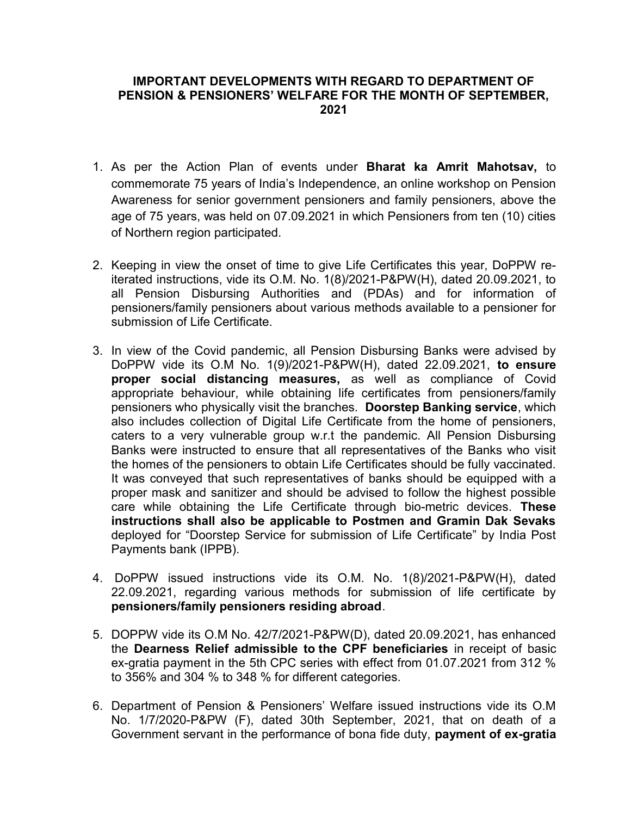## IMPORTANT DEVELOPMENTS WITH REGARD TO DEPARTMENT OF PENSION & PENSIONERS' WELFARE FOR THE MONTH OF SEPTEMBER, 2021

- 1. As per the Action Plan of events under Bharat ka Amrit Mahotsav, to commemorate 75 years of India's Independence, an online workshop on Pension Awareness for senior government pensioners and family pensioners, above the age of 75 years, was held on 07.09.2021 in which Pensioners from ten (10) cities of Northern region participated.
- 2. Keeping in view the onset of time to give Life Certificates this year, DoPPW reiterated instructions, vide its O.M. No. 1(8)/2021-P&PW(H), dated 20.09.2021, to all Pension Disbursing Authorities and (PDAs) and for information of pensioners/family pensioners about various methods available to a pensioner for submission of Life Certificate.
- 3. In view of the Covid pandemic, all Pension Disbursing Banks were advised by DoPPW vide its O.M No. 1(9)/2021-P&PW(H), dated 22.09.2021, to ensure proper social distancing measures, as well as compliance of Covid appropriate behaviour, while obtaining life certificates from pensioners/family pensioners who physically visit the branches. Doorstep Banking service, which also includes collection of Digital Life Certificate from the home of pensioners, caters to a very vulnerable group w.r.t the pandemic. All Pension Disbursing Banks were instructed to ensure that all representatives of the Banks who visit the homes of the pensioners to obtain Life Certificates should be fully vaccinated. It was conveyed that such representatives of banks should be equipped with a proper mask and sanitizer and should be advised to follow the highest possible care while obtaining the Life Certificate through bio-metric devices. These instructions shall also be applicable to Postmen and Gramin Dak Sevaks deployed for "Doorstep Service for submission of Life Certificate" by India Post Payments bank (IPPB).
- 4. DoPPW issued instructions vide its O.M. No. 1(8)/2021-P&PW(H), dated 22.09.2021, regarding various methods for submission of life certificate by pensioners/family pensioners residing abroad.
- 5. DOPPW vide its O.M No. 42/7/2021-P&PW(D), dated 20.09.2021, has enhanced the Dearness Relief admissible to the CPF beneficiaries in receipt of basic ex-gratia payment in the 5th CPC series with effect from 01.07.2021 from 312 % to 356% and 304 % to 348 % for different categories.
- 6. Department of Pension & Pensioners' Welfare issued instructions vide its O.M No. 1/7/2020-P&PW (F), dated 30th September, 2021, that on death of a Government servant in the performance of bona fide duty, payment of ex-gratia